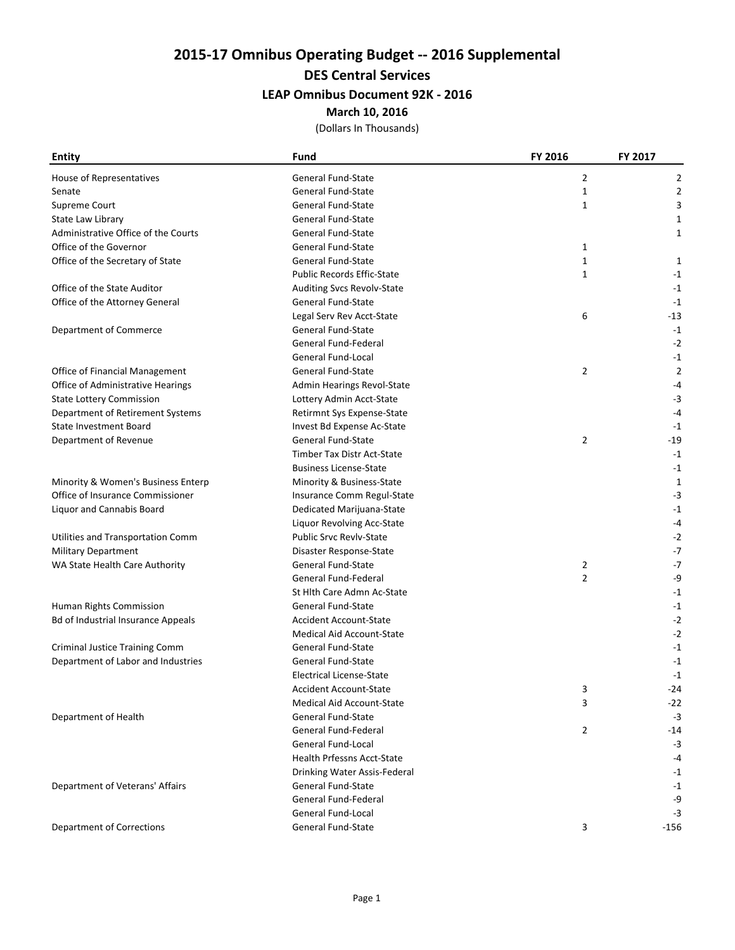2015-17 Omnibus Operating Budget -- 2016 Supplemental

DES Central Services

## LEAP Omnibus Document 92K - 2016

March 10, 2016

(Dollars In Thousands)

| <b>Entity</b>                             | Fund                              | FY 2016      | FY 2017        |
|-------------------------------------------|-----------------------------------|--------------|----------------|
| House of Representatives                  | <b>General Fund-State</b>         | 2            | 2              |
| Senate                                    | <b>General Fund-State</b>         | 1            | 2              |
| Supreme Court                             | <b>General Fund-State</b>         | $\mathbf{1}$ | 3              |
| State Law Library                         | <b>General Fund-State</b>         |              | 1              |
| Administrative Office of the Courts       | General Fund-State                |              | 1              |
| Office of the Governor                    | <b>General Fund-State</b>         | 1            |                |
| Office of the Secretary of State          | <b>General Fund-State</b>         | $\mathbf{1}$ | 1              |
|                                           | <b>Public Records Effic-State</b> | $\mathbf{1}$ | $-1$           |
| Office of the State Auditor               | Auditing Svcs Revolv-State        |              | $-1$           |
| Office of the Attorney General            | General Fund-State                |              | $-1$           |
|                                           | Legal Serv Rev Acct-State         | 6            | -13            |
| Department of Commerce                    | <b>General Fund-State</b>         |              | $-1$           |
|                                           | General Fund-Federal              |              | $-2$           |
|                                           | General Fund-Local                |              | $-1$           |
| Office of Financial Management            | <b>General Fund-State</b>         | 2            | $\overline{2}$ |
| Office of Administrative Hearings         | Admin Hearings Revol-State        |              | -4             |
| <b>State Lottery Commission</b>           | Lottery Admin Acct-State          |              | $-3$           |
| Department of Retirement Systems          | Retirmnt Sys Expense-State        |              | $-4$           |
| <b>State Investment Board</b>             | Invest Bd Expense Ac-State        |              | $-1$           |
| Department of Revenue                     | <b>General Fund-State</b>         | 2            | $-19$          |
|                                           | Timber Tax Distr Act-State        |              | $-1$           |
|                                           | <b>Business License-State</b>     |              | $-1$           |
| Minority & Women's Business Enterp        | Minority & Business-State         |              | $\mathbf{1}$   |
| Office of Insurance Commissioner          | Insurance Comm Regul-State        |              | $-3$           |
| Liquor and Cannabis Board                 | Dedicated Marijuana-State         |              | $-1$           |
|                                           | Liquor Revolving Acc-State        |              | -4             |
| Utilities and Transportation Comm         | <b>Public Srvc Revlv-State</b>    |              | $-2$           |
| <b>Military Department</b>                | Disaster Response-State           |              | $-7$           |
| WA State Health Care Authority            | <b>General Fund-State</b>         | 2            | $-7$           |
|                                           | General Fund-Federal              | 2            | -9             |
|                                           | St Hith Care Admn Ac-State        |              | $-1$           |
| Human Rights Commission                   | General Fund-State                |              | $-1$           |
| <b>Bd of Industrial Insurance Appeals</b> | <b>Accident Account-State</b>     |              | $-2$           |
|                                           | <b>Medical Aid Account-State</b>  |              | $-2$           |
| <b>Criminal Justice Training Comm</b>     | General Fund-State                |              | $-1$           |
| Department of Labor and Industries        | General Fund-State                |              | $-1$           |
|                                           | Electrical License-State          |              | $-1$           |
|                                           | Accident Account-State            | 3            | -24            |
|                                           | <b>Medical Aid Account-State</b>  | 3            | -22            |
| Department of Health                      | <b>General Fund-State</b>         |              | $-3$           |
|                                           | General Fund-Federal              | 2            | $-14$          |
|                                           | General Fund-Local                |              | $-3$           |
|                                           | <b>Health Prfessns Acct-State</b> |              | -4             |
|                                           | Drinking Water Assis-Federal      |              | $-1$           |
| Department of Veterans' Affairs           | <b>General Fund-State</b>         |              | $-1$           |
|                                           | <b>General Fund-Federal</b>       |              | -9             |
|                                           | General Fund-Local                |              | $-3$           |
| <b>Department of Corrections</b>          | General Fund-State                | 3            | $-156$         |